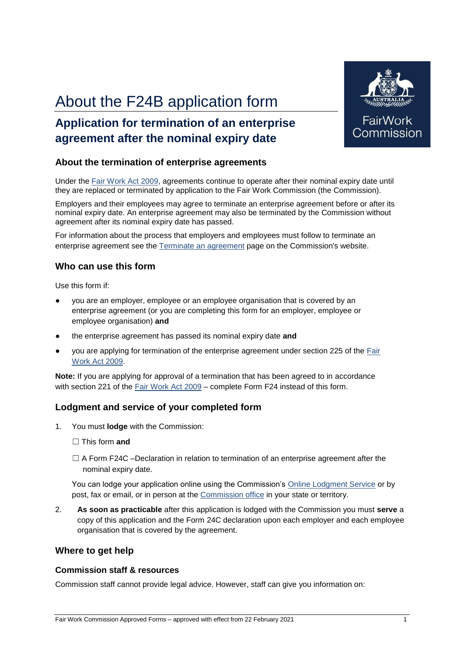# About the F24B application form

### **Application for termination of an enterprise agreement after the nominal expiry date**



Under the Fair Work Act 2009, agreements continue to operate after their nominal expiry date until they are replaced or terminated by application to the Fair Work Commission (the Commission).

Employers and their employees may agree to terminate an enterprise agreement before or after its nominal expiry date. An enterprise agreement may also be terminated by the Commission without agreement after its nominal expiry date has passed.

For information about the process that employers and employees must follow to terminate an enterprise agreement see the Terminate an agreement page on the Commission's website.

#### **Who can use this form**

Use this form if:

- you are an employer, employee or an employee organisation that is covered by an enterprise agreement (or you are completing this form for an employer, employee or employee organisation) **and**
- the enterprise agreement has passed its nominal expiry date and
- you are applying for termination of the enterprise agreement under section 225 of the Fair Work Act 2009.

**Note:** If you are applying for approval of a termination that has been agreed to in accordance with section 221 of the Fair Work Act 2009 – complete Form F24 instead of this form.

#### **Lodgment and service of your completed form**

- 1. You must **lodge** with the Commission:
	- ☐ This form **and**
	- $\Box$  A Form F24C –Declaration in relation to termination of an enterprise agreement after the nominal expiry date.

You can lodge your application online using the Commission's Online Lodgment Service or by post, fax or email, or in person at the Commission office in your state or territory.

2. **As soon as practicable** after this application is lodged with the Commission you must **serve** a copy of this application and the Form 24C declaration upon each employer and each employee organisation that is covered by the agreement.

#### **Where to get help**

#### **Commission staff & resources**

Commission staff cannot provide legal advice. However, staff can give you information on:



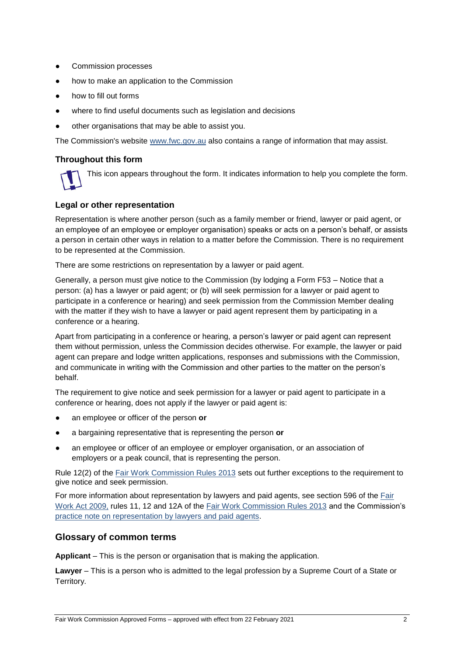- Commission processes
- how to make an application to the Commission
- how to fill out forms
- where to find useful documents such as legislation and decisions
- other organisations that may be able to assist you.

The Commission's website www.fwc.gov.au also contains a range of information that may assist.

#### **Throughout this form**

This icon appears throughout the form. It indicates information to help you complete the form.

#### **Legal or other representation**

Representation is where another person (such as a family member or friend, lawyer or paid agent, or an employee of an employee or employer organisation) speaks or acts on a person's behalf, or assists a person in certain other ways in relation to a matter before the Commission. There is no requirement to be represented at the Commission.

There are some restrictions on representation by a lawyer or paid agent.

Generally, a person must give notice to the Commission (by lodging a Form F53 – Notice that a person: (a) has a lawyer or paid agent; or (b) will seek permission for a lawyer or paid agent to participate in a conference or hearing) and seek permission from the Commission Member dealing with the matter if they wish to have a lawyer or paid agent represent them by participating in a conference or a hearing.

Apart from participating in a conference or hearing, a person's lawyer or paid agent can represent them without permission, unless the Commission decides otherwise. For example, the lawyer or paid agent can prepare and lodge written applications, responses and submissions with the Commission, and communicate in writing with the Commission and other parties to the matter on the person's behalf.

The requirement to give notice and seek permission for a lawyer or paid agent to participate in a conference or hearing, does not apply if the lawyer or paid agent is:

- an employee or officer of the person **or**
- a bargaining representative that is representing the person **or**
- an employee or officer of an employee or employer organisation, or an association of employers or a peak council, that is representing the person.

Rule 12(2) of the Fair Work Commission Rules 2013 sets out further exceptions to the requirement to give notice and seek permission.

For more information about representation by lawyers and paid agents, see section 596 of the Fair Work Act 2009, rules 11, 12 and 12A of the Fair Work Commission Rules 2013 and the Commission's practice note on representation by lawyers and paid agents.

#### **Glossary of common terms**

**Applicant** – This is the person or organisation that is making the application.

**Lawyer** – This is a person who is admitted to the legal profession by a Supreme Court of a State or Territory.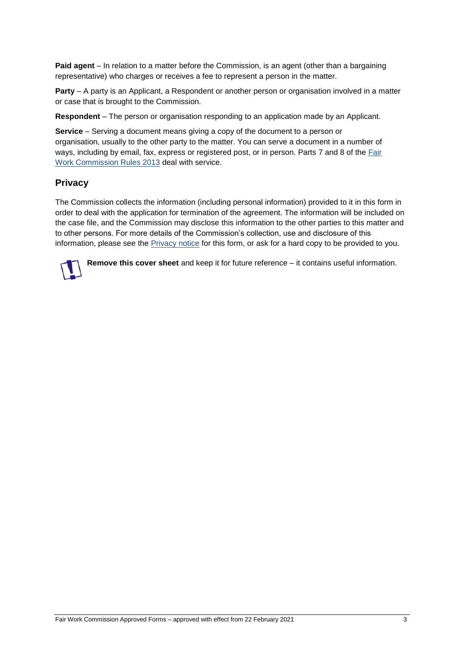**Paid agent** – In relation to a matter before the Commission, is an agent (other than a bargaining representative) who charges or receives a fee to represent a person in the matter.

**Party** – A party is an Applicant, a Respondent or another person or organisation involved in a matter or case that is brought to the Commission.

**Respondent** – The person or organisation responding to an application made by an Applicant.

**Service** – Serving a document means giving a copy of the document to a person or organisation, usually to the other party to the matter. You can serve a document in a number of ways, including by email, fax, express or registered post, or in person. Parts 7 and 8 of the Fair Work Commission Rules 2013 deal with service.

#### **Privacy**

The Commission collects the information (including personal information) provided to it in this form in order to deal with the application for termination of the agreement. The information will be included on the case file, and the Commission may disclose this information to the other parties to this matter and to other persons. For more details of the Commission's collection, use and disclosure of this information, please see the Privacy notice for this form, or ask for a hard copy to be provided to you.

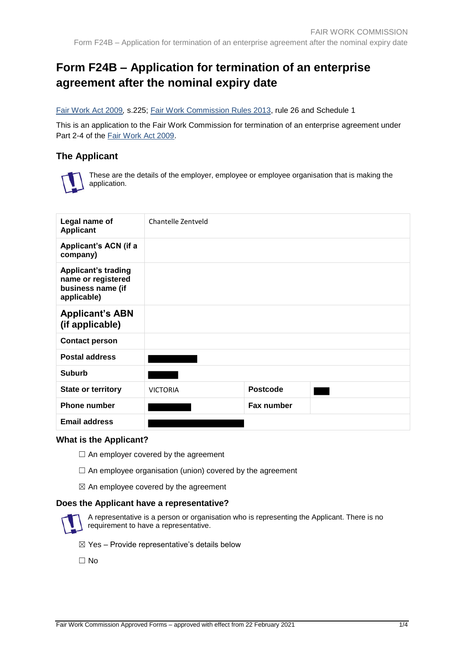## **Form F24B – Application for termination of an enterprise agreement after the nominal expiry date**

#### Fair Work Act 2009*,* s.225; Fair Work Commission Rules 2013, rule 26 and Schedule 1

This is an application to the Fair Work Commission for termination of an enterprise agreement under Part 2-4 of the Fair Work Act 2009.

#### **The Applicant**



These are the details of the employer, employee or employee organisation that is making the application.

| Legal name of<br><b>Applicant</b>                                                    | Chantelle Zentveld |                 |  |
|--------------------------------------------------------------------------------------|--------------------|-----------------|--|
| <b>Applicant's ACN (if a</b><br>company)                                             |                    |                 |  |
| <b>Applicant's trading</b><br>name or registered<br>business name (if<br>applicable) |                    |                 |  |
| <b>Applicant's ABN</b><br>(if applicable)                                            |                    |                 |  |
| <b>Contact person</b>                                                                |                    |                 |  |
| <b>Postal address</b>                                                                |                    |                 |  |
| <b>Suburb</b>                                                                        |                    |                 |  |
| <b>State or territory</b>                                                            | <b>VICTORIA</b>    | <b>Postcode</b> |  |
| <b>Phone number</b>                                                                  |                    | Fax number      |  |
| <b>Email address</b>                                                                 |                    |                 |  |

#### **What is the Applicant?**

- $\Box$  An employer covered by the agreement
- $\Box$  An employee organisation (union) covered by the agreement
- $\boxtimes$  An employee covered by the agreement

#### **Does the Applicant have a representative?**



A representative is a person or organisation who is representing the Applicant. There is no requirement to have a representative.

- $\boxtimes$  Yes Provide representative's details below
- ☐ No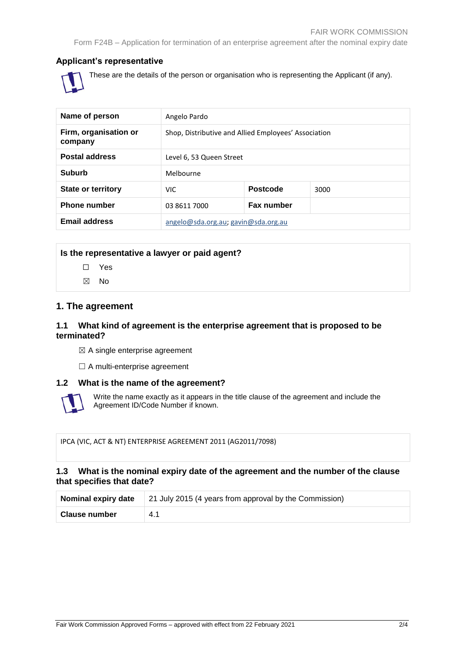#### **Applicant's representative**



These are the details of the person or organisation who is representing the Applicant (if any).

| Name of person                   | Angelo Pardo                                         |                   |      |
|----------------------------------|------------------------------------------------------|-------------------|------|
| Firm, organisation or<br>company | Shop, Distributive and Allied Employees' Association |                   |      |
| <b>Postal address</b>            | Level 6, 53 Queen Street                             |                   |      |
| Suburb                           | Melbourne                                            |                   |      |
| <b>State or territory</b>        | <b>VIC</b>                                           | <b>Postcode</b>   | 3000 |
| <b>Phone number</b>              | 03 8611 7000                                         | <b>Fax number</b> |      |
| <b>Email address</b>             | angelo@sda.org.au; gavin@sda.org.au                  |                   |      |

#### **Is the representative a lawyer or paid agent?**

- ☐ Yes
- ☒ No

#### **1. The agreement**

#### **1.1 What kind of agreement is the enterprise agreement that is proposed to be terminated?**

 $\boxtimes$  A single enterprise agreement

□ A multi-enterprise agreement

#### **1.2 What is the name of the agreement?**



Write the name exactly as it appears in the title clause of the agreement and include the Agreement ID/Code Number if known.

IPCA (VIC, ACT & NT) ENTERPRISE AGREEMENT 2011 (AG2011/7098)

#### **1.3 What is the nominal expiry date of the agreement and the number of the clause that specifies that date?**

| Nominal expiry date | 21 July 2015 (4 years from approval by the Commission) |  |
|---------------------|--------------------------------------------------------|--|
| Clause number       | 4.1                                                    |  |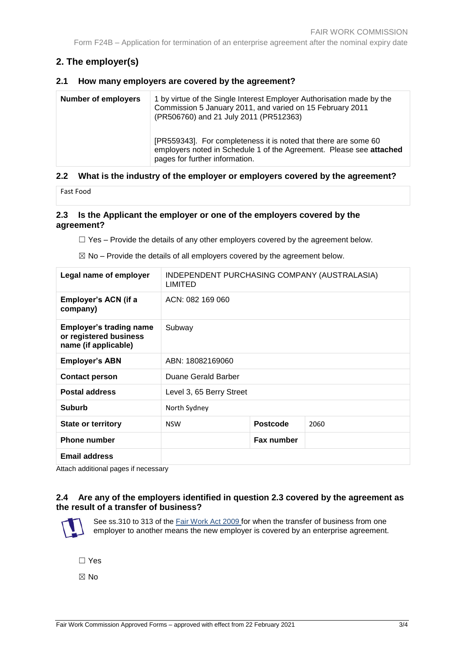Form F24B – Application for termination of an enterprise agreement after the nominal expiry date

### **2. The employer(s)**

#### **2.1 How many employers are covered by the agreement?**

| [PR559343]. For completeness it is noted that there are some 60<br>employers noted in Schedule 1 of the Agreement. Please see attached<br>pages for further information. | <b>Number of employers</b> | 1 by virtue of the Single Interest Employer Authorisation made by the<br>Commission 5 January 2011, and varied on 15 February 2011<br>(PR506760) and 21 July 2011 (PR512363) |
|--------------------------------------------------------------------------------------------------------------------------------------------------------------------------|----------------------------|------------------------------------------------------------------------------------------------------------------------------------------------------------------------------|
|--------------------------------------------------------------------------------------------------------------------------------------------------------------------------|----------------------------|------------------------------------------------------------------------------------------------------------------------------------------------------------------------------|

#### **2.2 What is the industry of the employer or employers covered by the agreement?**

Fast Food

#### **2.3 Is the Applicant the employer or one of the employers covered by the agreement?**

 $\Box$  Yes – Provide the details of any other employers covered by the agreement below.

 $\boxtimes$  No – Provide the details of all employers covered by the agreement below.

| Legal name of employer                                                           | INDEPENDENT PURCHASING COMPANY (AUSTRALASIA)<br>LIMITED |                 |      |
|----------------------------------------------------------------------------------|---------------------------------------------------------|-----------------|------|
| Employer's ACN (if a<br>company)                                                 | ACN: 082 169 060                                        |                 |      |
| <b>Employer's trading name</b><br>or registered business<br>name (if applicable) | Subway                                                  |                 |      |
| <b>Employer's ABN</b>                                                            | ABN: 18082169060                                        |                 |      |
| <b>Contact person</b>                                                            | Duane Gerald Barber                                     |                 |      |
| <b>Postal address</b>                                                            | Level 3, 65 Berry Street                                |                 |      |
| <b>Suburb</b>                                                                    | North Sydney                                            |                 |      |
| <b>State or territory</b>                                                        | <b>NSW</b>                                              | <b>Postcode</b> | 2060 |
| <b>Phone number</b>                                                              |                                                         | Fax number      |      |
| <b>Email address</b>                                                             |                                                         |                 |      |

Attach additional pages if necessary

#### **2.4 Are any of the employers identified in question 2.3 covered by the agreement as the result of a transfer of business?**



See ss.310 to 313 of the Fair Work Act 2009 for when the transfer of business from one employer to another means the new employer is covered by an enterprise agreement.

☐ Yes

☒ No